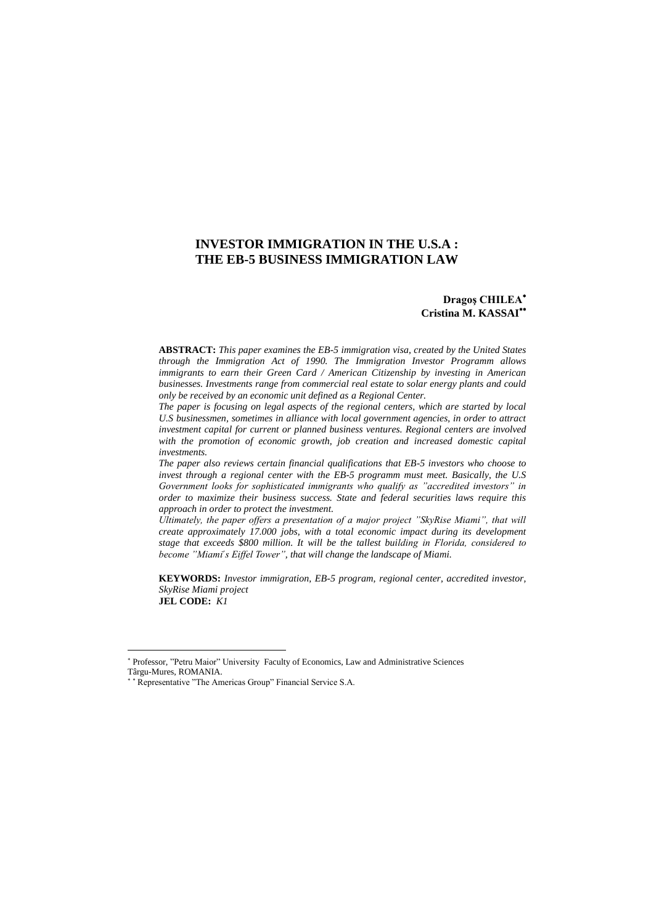# **INVESTOR IMMIGRATION IN THE U.S.A : THE EB-5 BUSINESS IMMIGRATION LAW**

## **Dragoş CHILEA Cristina M. KASSAI**

**ABSTRACT:** *This paper examines the EB-5 immigration visa, created by the United States through the Immigration Act of 1990. The Immigration Investor Programm allows immigrants to earn their Green Card / American Citizenship by investing in American businesses. Investments range from commercial real estate to solar energy plants and could only be received by an economic unit defined as a Regional Center.* 

*The paper is focusing on legal aspects of the regional centers, which are started by local U.S businessmen, sometimes in alliance with local government agencies, in order to attract investment capital for current or planned business ventures. Regional centers are involved with the promotion of economic growth, job creation and increased domestic capital investments.* 

*The paper also reviews certain financial qualifications that EB-5 investors who choose to invest through a regional center with the EB-5 programm must meet. Basically, the U.S Government looks for sophisticated immigrants who qualify as "accredited investors" in order to maximize their business success. State and federal securities laws require this approach in order to protect the investment.* 

*Ultimately, the paper offers a presentation of a major project "SkyRise Miami", that will create approximately 17.000 jobs, with a total economic impact during its development*  stage that exceeds \$800 million. It will be the tallest building in Florida, considered to *become "Miami's Eiffel Tower", that will change the landscape of Miami.* 

**KEYWORDS:** *Investor immigration, EB-5 program, regional center, accredited investor, SkyRise Miami project* **JEL CODE:** *K1*

Professor, "Petru Maior" University Faculty of Economics, Law and Administrative Sciences Târgu-Mures, ROMANIA.

<sup>\*\*</sup> Representative "The Americas Group" Financial Service S.A.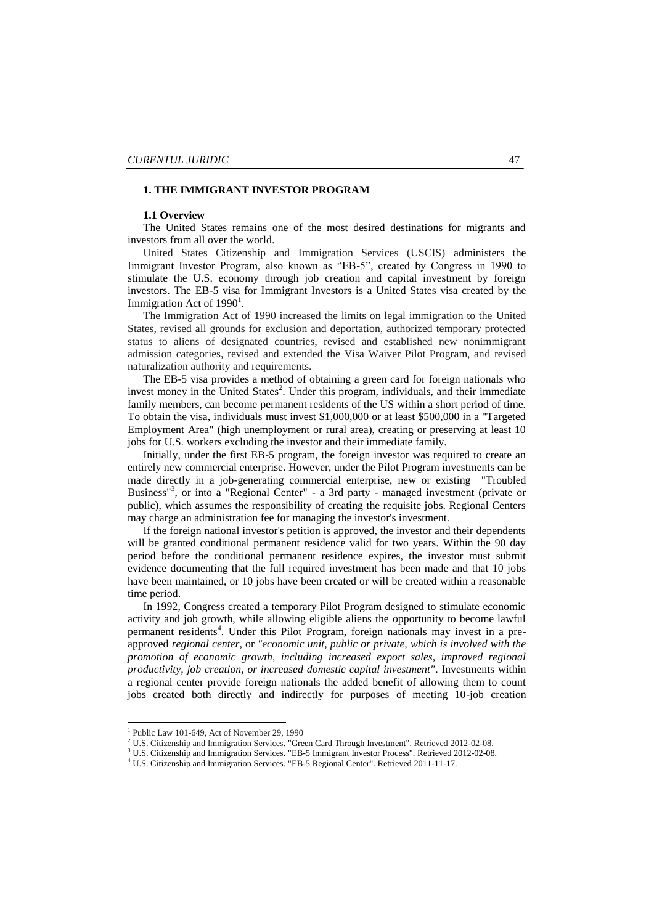## **1. THE IMMIGRANT INVESTOR PROGRAM**

## **1.1 Overview**

The United States remains one of the most desired destinations for migrants and investors from all over the world.

United States Citizenship and Immigration Services (USCIS) administers the Immigrant Investor Program, also known as "EB-5", created by Congress in 1990 to stimulate the U.S. economy through job creation and capital investment by foreign investors. The EB-5 visa for [Immigrant Investors](http://en.wikipedia.org/wiki/Immigrant_investor_programs) is a [United States visa](http://en.wikipedia.org/wiki/United_States_visa) created by the Immigration Act of  $1990<sup>1</sup>$ .

The Immigration Act of 1990 increased the limits on legal immigration to the United States, revised all grounds for exclusion and deportation, authorized temporary protected status to aliens of designated countries, revised and established new nonimmigrant admission categories, revised and extended the Visa Waiver Pilot Program, and revised naturalization authority and requirements.

The EB-5 visa provides a method of obtaining a green card for foreign nationals who invest money in the United States<sup>2</sup>. Under this program, individuals, and their immediate family members, can become permanent residents of the US within a short period of time. To obtain the visa, individuals must invest \$1,000,000 or at least \$500,000 in a "Targeted Employment Area" (high unemployment or rural area), creating or preserving at least 10 jobs for U.S. workers excluding the investor and their immediate family.

Initially, under the first EB-5 program, the foreign investor was required to create an entirely new commercial enterprise. However, under the Pilot Program investments can be made directly in a job-generating commercial enterprise, new or existing "Troubled Business"<sup>3</sup> , or into a "Regional Center" - a 3rd party - managed investment (private or public), which assumes the responsibility of creating the requisite jobs. Regional Centers may charge an administration fee for managing the investor's investment.

If the foreign national investor's petition is approved, the investor and their dependents will be granted conditional permanent residence valid for two years. Within the 90 day period before the conditional permanent residence expires, the investor must submit evidence documenting that the full required investment has been made and that 10 jobs have been maintained, or 10 jobs have been created or will be created within a reasonable time period.

In 1992, Congress created a temporary Pilot Program designed to stimulate economic activity and job growth, while allowing eligible aliens the opportunity to become lawful permanent residents<sup>4</sup>. Under this Pilot Program, foreign nationals may invest in a preapproved *regional center*, or *"economic unit, public or private, which is involved with the promotion of economic growth, including increased export sales, improved regional productivity, job creation, or increased domestic capital investment"*. Investments within a regional center provide foreign nationals the added benefit of allowing them to count jobs created both directly and indirectly for purposes of meeting 10-job creation

<sup>1</sup> Public Law 101-649, Act of November 29, 1990

<sup>&</sup>lt;sup>2</sup> U.S. Citizenship and Immigration Services[. "Green Card Through Investment".](http://www.uscis.gov/portal/site/uscis/menuitem.eb1d4c2a3e5b9ac89243c6a7543f6d1a/?vgnextoid=cf54a6c515083210VgnVCM100000082ca60aRCRD&vgnextchannel=cf54a6c515083210VgnVCM100000082ca60aRCRD) Retrieved 2012-02-08.

<sup>&</sup>lt;sup>3</sup> U.S. Citizenship and Immigration Services[. "EB-5 Immigrant Investor Process".](http://www.uscis.gov/portal/site/uscis/menuitem.eb1d4c2a3e5b9ac89243c6a7543f6d1a/?vgnextoid=8bf89ea1c35be210VgnVCM100000082ca60aRCRD&vgnextchannel=8bf89ea1c35be210VgnVCM100000082ca60aRCRD) Retrieved 2012-02-08.

<sup>4</sup> U.S. Citizenship and Immigration Services[. "EB-5 Regional Center".](http://www.uscis.gov/portal/site/uscis/menuitem.eb1d4c2a3e5b9ac89243c6a7543f6d1a/?vgnextoid=2785a5f224a2e210VgnVCM100000082ca60aRCRD&vgnextchannel=2785a5f224a2e210VgnVCM100000082ca60aRCRD) Retrieved 2011-11-17.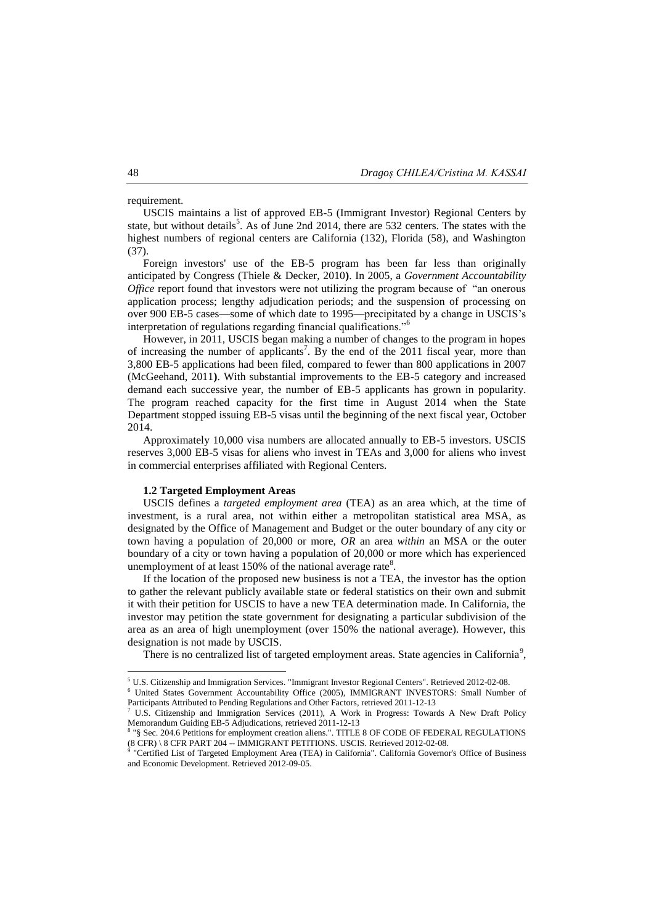requirement.

[USCIS](http://en.wikipedia.org/wiki/USCIS) maintains a list of approved EB-5 (Immigrant Investor) Regional Centers by state, but without details<sup>5</sup>. As of June 2nd 2014, there are 532 centers. The states with the highest numbers of regional centers are California (132), Florida (58), and Washington (37).

Foreign investors' use of the EB-5 program has been far less than originally anticipated by Congress (Thiele & Decker, 2010**)**. In 2005, a *[Government Accountability](http://en.wikipedia.org/wiki/Government_Accountability_Office)  [Office](http://en.wikipedia.org/wiki/Government_Accountability_Office)* report found that investors were not utilizing the program because of "an onerous application process; lengthy adjudication periods; and the suspension of processing on over 900 EB-5 cases—some of which date to 1995—precipitated by a change in USCIS's interpretation of regulations regarding financial qualifications."<sup>6</sup>

However, in 2011, USCIS began making a number of changes to the program in hopes of increasing the number of applicants<sup>7</sup>. By the end of the 2011 fiscal year, more than 3,800 EB-5 applications had been filed, compared to fewer than 800 applications in 2007 (McGeehand, 2011**)**. With substantial improvements to the EB-5 category and increased demand each successive year, the number of EB-5 applicants has grown in popularity. The program reached capacity for the first time in August 2014 when the State Department stopped issuing EB-5 visas until the beginning of the next fiscal year, October 2014.

Approximately 10,000 visa numbers are allocated annually to EB-5 investors. USCIS reserves 3,000 EB-5 visas for aliens who invest in TEAs and 3,000 for aliens who invest in commercial enterprises affiliated with Regional Centers.

## **1.2 Targeted Employment Areas**

USCIS defines a *targeted employment area* (TEA) as an area which, at the time of investment, is a rural area, not within either a metropolitan statistical area MSA, as designated by the Office of Management and Budget or the outer boundary of any city or town having a population of 20,000 or more, *OR* an area *within* an MSA or the outer boundary of a city or town having a population of 20,000 or more which has experienced unemployment of at least 150% of the [national average rate](http://en.wikipedia.org/wiki/Unemployment_in_the_United_States) $8$ .

If the location of the proposed new business is not a TEA, the investor has the option to gather the relevant publicly available state or federal statistics on their own and submit it with their petition for USCIS to have a new TEA determination made. In California, the investor may petition the state government for designating a particular subdivision of the area as an area of high unemployment (over 150% the national average). However, this designation is not made by USCIS.

There is no centralized list of targeted employment areas. State agencies in California<sup>9</sup>,

 $\overline{a}$ 

<sup>5</sup> U.S. Citizenship and Immigration Services[. "Immigrant Investor Regional Centers".](http://www.uscis.gov/eb-5centers) Retrieved 2012-02-08.

<sup>6</sup> United States Government Accountability Office (2005), [IMMIGRANT INVESTORS: Small Number of](http://www.gao.gov/new.items/d05256.pdf)  [Participants Attributed to Pending Regulations and Other Factors,](http://www.gao.gov/new.items/d05256.pdf) retrieved 2011-12-13

<sup>7</sup> U.S. Citizenship and Immigration Services (2011), A Work [in Progress: Towards A New Draft Policy](http://www.uscis.gov/USCIS/Outreach/Feedback%20Opportunities/Draft%20Memorandum%20for%20Comment/EB_5_Adjudications_Policy2.pdf)  [Memorandum Guiding EB-5 Adjudications,](http://www.uscis.gov/USCIS/Outreach/Feedback%20Opportunities/Draft%20Memorandum%20for%20Comment/EB_5_Adjudications_Policy2.pdf) retrieved 2011-12-13

<sup>8</sup> ["§ Sec. 204.6 Petitions for employment creation aliens.".](http://www.uscis.gov/ilink/docView/SLB/HTML/SLB/0-0-0-1/0-0-0-11185/0-0-0-12549/0-0-0-13706.html) TITLE 8 OF CODE OF FEDERAL REGULATIONS (8 CFR) \ 8 CFR PART 204 -- IMMIGRANT PETITIONS[. USCIS.](http://en.wikipedia.org/wiki/USCIS) Retrieved 2012-02-08. 9 ["Certified List of Targeted Employment Area \(TEA\) in California".](http://business.ca.gov/Programs/EB5Program.aspx) California Governor's Office of Business

and Economic Development. Retrieved 2012-09-05.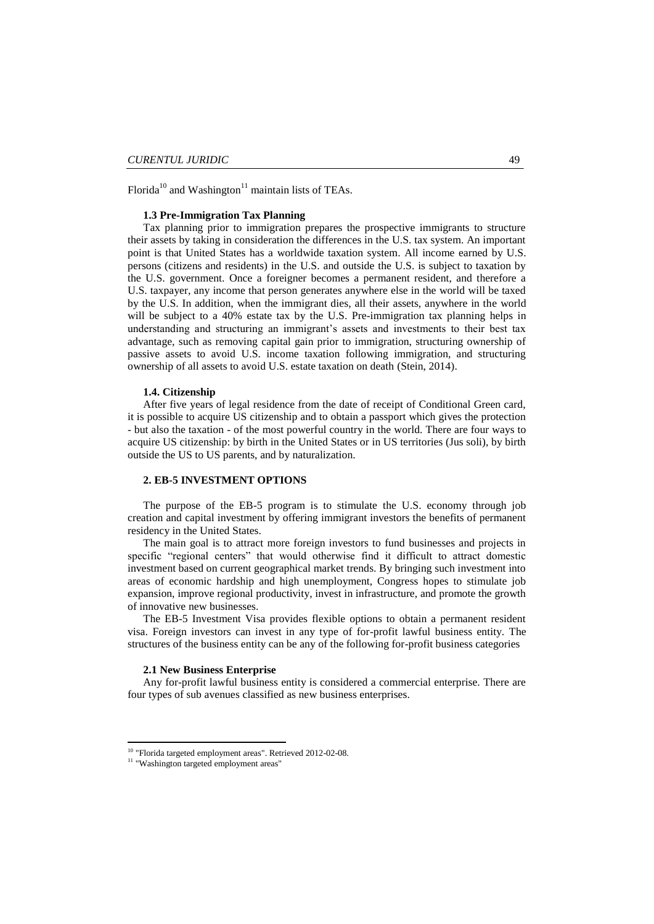Florida<sup>10</sup> and Washington<sup>11</sup> maintain lists of TEAs.

## **1.3 Pre-Immigration Tax Planning**

Tax planning prior to immigration prepares the prospective immigrants to structure their assets by taking in consideration the differences in the U.S. tax system. An important point is that United States has a [worldwide taxation system.](http://en.wikipedia.org/wiki/International_taxation#Taxation_systems) All income earned by U.S. persons (citizens and residents) in the U.S. and outside the U.S. is subject to taxation by the U.S. government. Once a foreigner becomes a permanent resident, and therefore a U.S. taxpayer, any income that person generates anywhere else in the world will be taxed by the U.S. In addition, when the immigrant dies, all their assets, anywhere in the world will be subject to a 40% [estate tax](http://en.wikipedia.org/wiki/Estate_tax_in_the_United_States) by the U.S. Pre-immigration tax planning helps in understanding and structuring an immigrant's assets and investments to their best tax advantage, such as removing capital gain prior to immigration, structuring ownership of passive assets to avoid U.S. income taxation following immigration, and structuring ownership of all assets to avoid U.S. estate taxation on death (Stein, 2014).

#### **1.4. Citizenship**

After five years of legal residence from the date of receipt of Conditional Green card, it is possible to acquire US citizenship and to obtain a passport which gives the protection - but also the taxation - of the most powerful country in the world. There are four ways to acquire US citizenship: by birth in the United States or in US territories (Jus soli), by birth outside the US to US parents, and by naturalization.

## **2. EB-5 INVESTMENT OPTIONS**

The purpose of the EB-5 program is to stimulate the U.S. economy through job creation and capital investment by offering immigrant investors the benefits of permanent residency in the United States.

The main goal is to attract more foreign investors to fund businesses and projects in specific "regional centers" that would otherwise find it difficult to attract domestic investment based on current geographical market trends. By bringing such investment into areas of economic hardship and high unemployment, Congress hopes to stimulate job expansion, improve regional productivity, invest in infrastructure, and promote the growth of innovative new businesses.

The EB-5 Investment Visa provides flexible options to obtain a permanent resident visa. Foreign investors can invest in any type of for-profit lawful business entity. The structures of the business entity can be any of the following for-profit business categories

## **2.1 New Business Enterprise**

Any for-profit lawful business entity is considered a commercial enterprise. There are four types of sub avenues classified as new business enterprises.

<sup>&</sup>lt;sup>10</sup> "Florida targeted [employment areas".](http://www.floridajobs.org/labor-market-information/a-z-index/a-z-index#T) Retrieved 2012-02-08.

<sup>&</sup>lt;sup>11</sup> ["Washington targeted employment areas"](http://www.floridajobs.org/labor-market-information/a-z-index/a-z-index#T)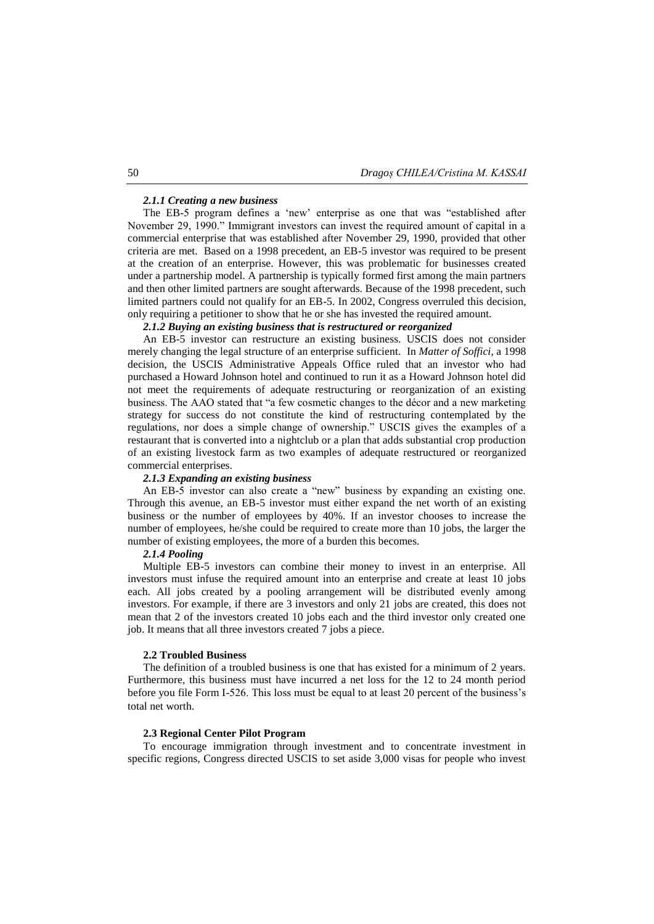#### *2.1.1 Creating a new business*

The EB-5 program defines a 'new' enterprise as one that was "established after November 29, 1990." Immigrant investors can invest the required amount of capital in a commercial enterprise that was established after November 29, 1990, provided that other criteria are met. Based on a 1998 precedent, an EB-5 investor was required to be present at the creation of an enterprise. However, this was problematic for businesses created under a partnership model. A partnership is typically formed first among the main partners and then other limited partners are sought afterwards. Because of the 1998 precedent, such limited partners could not qualify for an EB-5. In 2002, Congress overruled this decision, only requiring a petitioner to show that he or she has invested the required amount.

## *2.1.2 Buying an existing business that is restructured or reorganized*

An EB-5 investor can restructure an existing business. USCIS does not consider merely changing the legal structure of an enterprise sufficient. In *Matter of Soffici*, a 1998 decision, the USCIS Administrative Appeals Office ruled that an investor who had purchased a Howard Johnson hotel and continued to run it as a Howard Johnson hotel did not meet the requirements of adequate restructuring or reorganization of an existing business. The AAO stated that "a few cosmetic changes to the décor and a new marketing strategy for success do not constitute the kind of restructuring contemplated by the regulations, nor does a simple change of ownership." USCIS gives the examples of a restaurant that is converted into a nightclub or a plan that adds substantial crop production of an existing livestock farm as two examples of adequate restructured or reorganized commercial enterprises.

## *2.1.3 Expanding an existing business*

An EB-5 investor can also create a "new" business by expanding an existing one. Through this avenue, an EB-5 investor must either expand the net worth of an existing business or the number of employees by 40%. If an investor chooses to increase the number of employees, he/she could be required to create more than 10 jobs, the larger the number of existing employees, the more of a burden this becomes.

## *2.1.4 Pooling*

Multiple EB-5 investors can combine their money to invest in an enterprise. All investors must infuse the required amount into an enterprise and create at least 10 jobs each. All jobs created by a pooling arrangement will be distributed evenly among investors. For example, if there are 3 investors and only 21 jobs are created, this does not mean that 2 of the investors created 10 jobs each and the third investor only created one job. It means that all three investors created 7 jobs a piece.

### **2.2 Troubled Business**

The definition of a troubled business is one that has existed for a minimum of 2 years. Furthermore, this business must have incurred a net loss for the 12 to 24 month period before you file Form I-526. This loss must be equal to at least 20 percent of the business's total net worth.

## **2.3 Regional Center Pilot Program**

To encourage immigration through investment and to concentrate investment in specific regions, Congress directed USCIS to set aside 3,000 visas for people who invest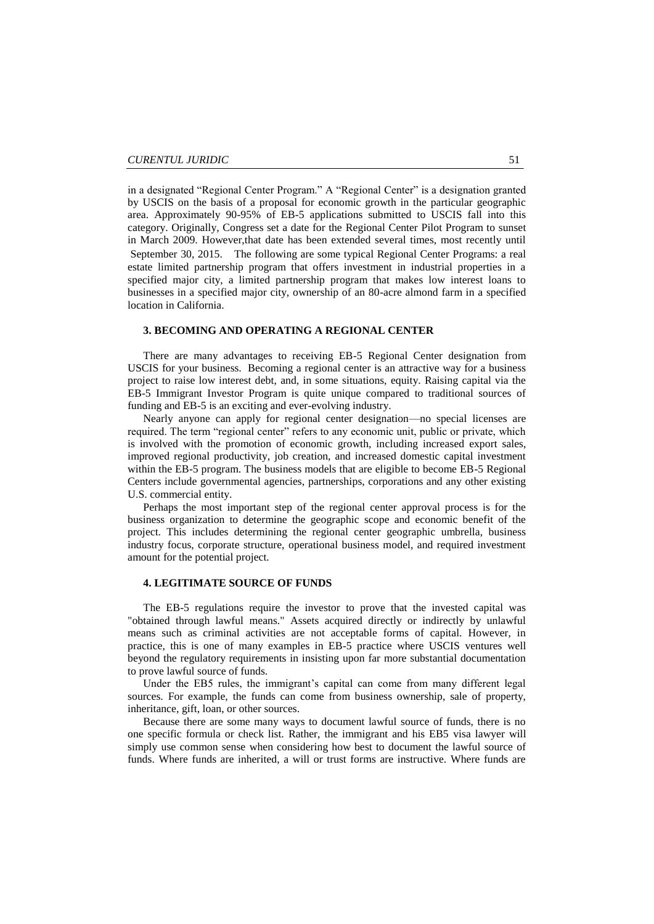in a designated "Regional Center Program." A "Regional Center" is a designation granted by USCIS on the basis of a proposal for economic growth in the particular geographic area. Approximately 90-95% of EB-5 applications submitted to USCIS fall into this category. Originally, Congress set a date for the Regional Center Pilot Program to sunset in March 2009. However,that date has been extended several times, most recently until September 30, 2015. The following are some typical Regional Center Programs: a real estate limited partnership program that offers investment in industrial properties in a specified major city, a limited partnership program that makes low interest loans to businesses in a specified major city, ownership of an 80-acre almond farm in a specified location in California.

## **3. BECOMING AND OPERATING A REGIONAL CENTER**

There are many advantages to receiving EB-5 Regional Center designation from USCIS for your business. Becoming a regional center is an attractive way for a business project to raise low interest debt, and, in some situations, equity. Raising capital via the EB-5 Immigrant Investor Program is quite unique compared to traditional sources of funding and EB-5 is an exciting and ever-evolving industry.

Nearly anyone can apply for regional center designation—no special licenses are required. The term "regional center" refers to any economic unit, public or private, which is involved with the promotion of economic growth, including increased export sales, improved regional productivity, job creation, and increased domestic capital investment within the EB-5 program. The business models that are eligible to become EB-5 Regional Centers include governmental agencies, partnerships, corporations and any other existing U.S. commercial entity.

Perhaps the most important step of the regional center approval process is for the business organization to determine the geographic scope and economic benefit of the project. This includes determining the regional center geographic umbrella, business industry focus, corporate structure, operational business model, and required investment amount for the potential project.

## **4. LEGITIMATE SOURCE OF FUNDS**

The EB-5 regulations require the investor to prove that the invested capital was "obtained through lawful means." Assets acquired directly or indirectly by unlawful means such as criminal activities are not acceptable forms of capital. However, in practice, this is one of many examples in EB-5 practice where USCIS ventures well beyond the regulatory requirements in insisting upon far more substantial documentation to prove lawful source of funds.

Under the EB5 rules, the immigrant's capital can come from many different legal sources. For example, the funds can come from business ownership, sale of property, inheritance, gift, loan, or other sources.

Because there are some many ways to document lawful source of funds, there is no one specific formula or check list. Rather, the immigrant and his EB5 visa lawyer will simply use common sense when considering how best to document the lawful source of funds. Where funds are inherited, a will or trust forms are instructive. Where funds are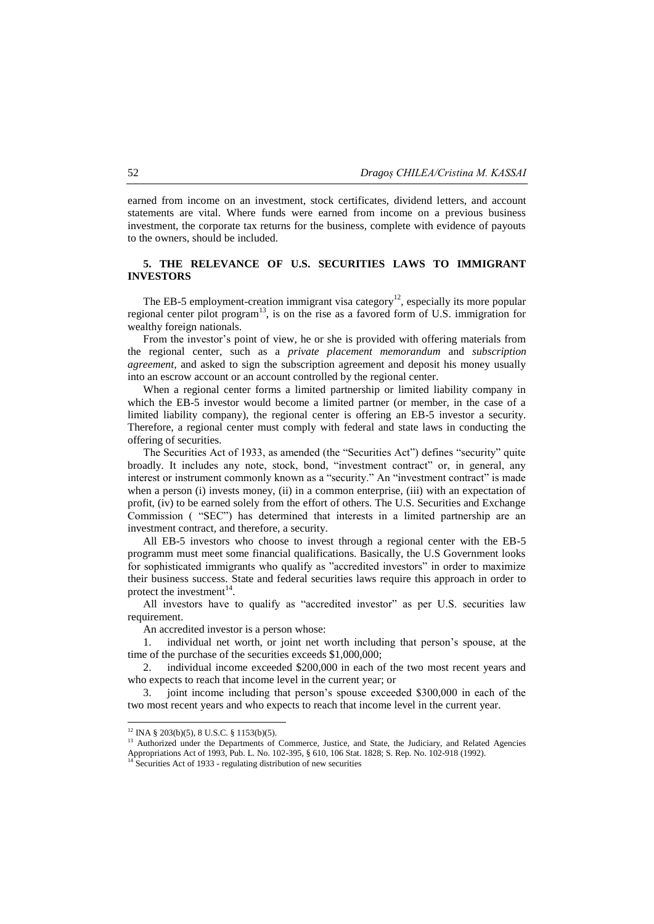earned from income on an investment, stock certificates, dividend letters, and account statements are vital. Where funds were earned from income on a previous business investment, the corporate tax returns for the business, complete with evidence of payouts to the owners, should be included.

## **5. THE RELEVANCE OF U.S. SECURITIES LAWS TO IMMIGRANT INVESTORS**

The EB-5 employment-creation immigrant visa category<sup>12</sup>, especially its more popular regional center pilot program<sup>13</sup>, is on the rise as a favored form of U.S. immigration for wealthy foreign nationals.

From the investor's point of view, he or she is provided with offering materials from the regional center, such as a *private placement memorandum* and *subscription agreement*, and asked to sign the subscription agreement and deposit his money usually into an escrow account or an account controlled by the regional center.

When a regional center forms a limited partnership or limited liability company in which the EB-5 investor would become a limited partner (or member, in the case of a limited liability company), the regional center is offering an EB-5 investor a security. Therefore, a regional center must comply with federal and state laws in conducting the offering of securities.

The Securities Act of 1933, as amended (the "Securities Act") defines "security" quite broadly. It includes any note, stock, bond, "investment contract" or, in general, any interest or instrument commonly known as a "security." An "investment contract" is made when a person (i) invests money, (ii) in a common enterprise, (iii) with an expectation of profit, (iv) to be earned solely from the effort of others. The U.S. Securities and Exchange Commission ( "SEC") has determined that interests in a limited partnership are an investment contract, and therefore, a security.

All EB-5 investors who choose to invest through a regional center with the EB-5 programm must meet some financial qualifications. Basically, the U.S Government looks for sophisticated immigrants who qualify as "accredited investors" in order to maximize their business success. State and federal securities laws require this approach in order to protect the investment $14$ .

All investors have to qualify as "accredited investor" as per U.S. securities law requirement.

An accredited investor is a person whose:

1. individual net worth, or joint net worth including that person's spouse, at the time of the purchase of the securities exceeds \$1,000,000;

2. individual income exceeded \$200,000 in each of the two most recent years and who expects to reach that income level in the current year; or

3. joint income including that person's spouse exceeded \$300,000 in each of the two most recent years and who expects to reach that income level in the current year.

 $12$  INA § 203(b)(5), 8 U.S.C. § 1153(b)(5).

<sup>&</sup>lt;sup>13</sup> Authorized under the Departments of Commerce, Justice, and State, the Judiciary, and Related Agencies Appropriations Act of 1993, Pub. L. No. 102-395, § 610, 106 Stat. 1828; S. Rep. No. 102-918 (1992).

 $14$  [Securities Act of 1933](http://en.wikipedia.org/wiki/Securities_Act_of_1933) - regulating distribution of new securities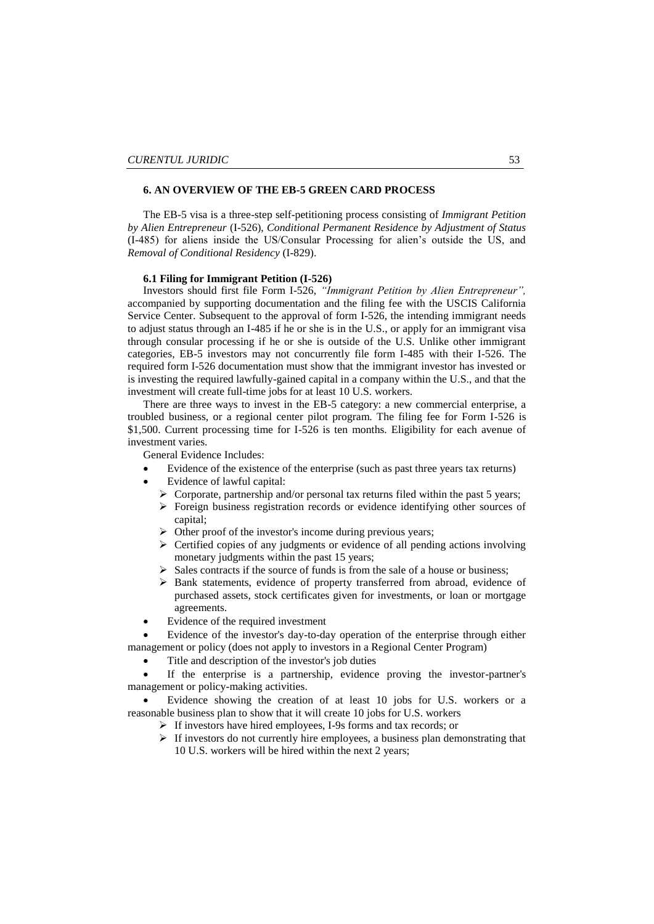## **6. AN OVERVIEW OF THE EB-5 GREEN CARD PROCESS**

The EB-5 visa is a three-step self-petitioning process consisting of *Immigrant Petition by Alien Entrepreneur* (I-526), *Conditional Permanent Residence by Adjustment of Status* (I-485) for aliens inside the US/Consular Processing for alien's outside the US, and *Removal of Conditional Residency* (I-829).

#### **6.1 Filing for Immigrant Petition (I-526)**

Investors should first file Form I-526, "Immigrant Petition by Alien Entrepreneur", accompanied by supporting documentation and the filing fee with the USCIS California Service Center. Subsequent to the approval of form I-526, the intending immigrant needs to adjust status through an I-485 if he or she is in the U.S., or apply for an immigrant visa through consular processing if he or she is outside of the U.S. Unlike other immigrant categories, EB-5 investors may not concurrently file form I-485 with their I-526. The required form I-526 documentation must show that the immigrant investor has invested or is investing the required lawfully-gained capital in a company within the U.S., and that the investment will create full-time jobs for at least 10 U.S. workers.

There are three ways to invest in the EB-5 category: a new commercial enterprise, a troubled business, or a regional center pilot program. The filing fee for Form I-526 is \$1,500. Current processing time for I-526 is ten months. Eligibility for each avenue of investment varies.

General Evidence Includes:

- Evidence of the existence of the enterprise (such as past three years tax returns)
- Evidence of lawful capital:
	- $\triangleright$  Corporate, partnership and/or personal tax returns filed within the past 5 years;
	- Foreign business registration records or evidence identifying other sources of capital;
	- $\triangleright$  Other proof of the investor's income during previous years;
	- $\triangleright$  Certified copies of any judgments or evidence of all pending actions involving monetary judgments within the past 15 years;
	- $\triangleright$  Sales contracts if the source of funds is from the sale of a house or business;
	- > Bank statements, evidence of property transferred from abroad, evidence of purchased assets, stock certificates given for investments, or loan or mortgage agreements.
- Evidence of the required investment

 Evidence of the investor's day-to-day operation of the enterprise through either management or policy (does not apply to investors in a Regional Center Program)

Title and description of the investor's job duties

 If the enterprise is a partnership, evidence proving the investor-partner's management or policy-making activities.

 Evidence showing the creation of at least 10 jobs for U.S. workers or a reasonable business plan to show that it will create 10 jobs for U.S. workers

- If investors have hired employees, I-9s forms and tax records; or
	- $\triangleright$  If investors do not currently hire employees, a business plan demonstrating that 10 U.S. workers will be hired within the next 2 years;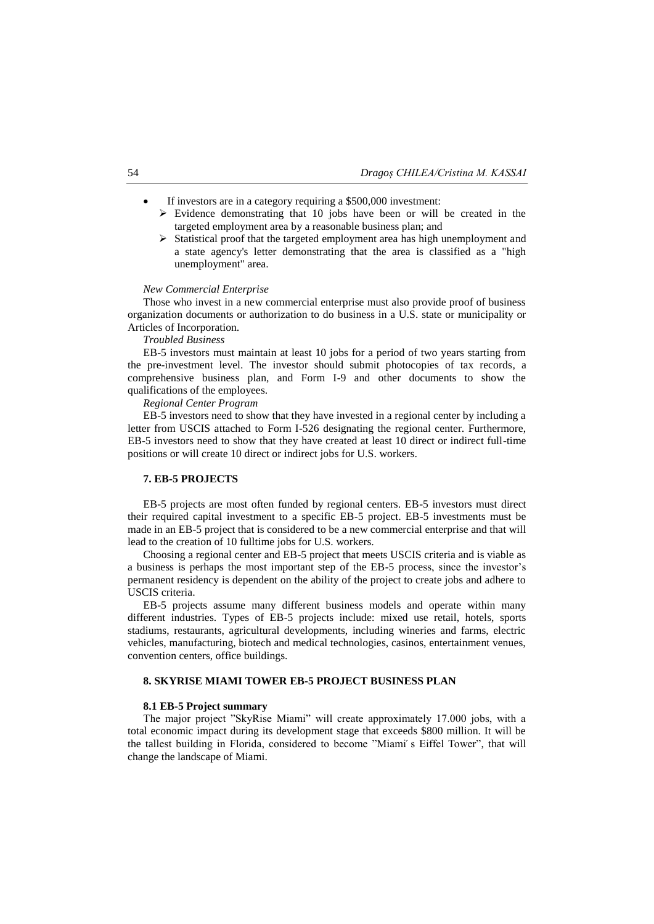- If investors are in a category requiring a \$500,000 investment:
	- $\triangleright$  Evidence demonstrating that 10 jobs have been or will be created in the targeted employment area by a reasonable business plan; and
	- $\triangleright$  Statistical proof that the targeted employment area has high unemployment and a state agency's letter demonstrating that the area is classified as a "high unemployment" area.

### *New Commercial Enterprise*

Those who invest in a new commercial enterprise must also provide proof of business organization documents or authorization to do business in a U.S. state or municipality or Articles of Incorporation.

*Troubled Business*

EB-5 investors must maintain at least 10 jobs for a period of two years starting from the pre-investment level. The investor should submit photocopies of tax records, a comprehensive business plan, and Form I-9 and other documents to show the qualifications of the employees.

*Regional Center Program*

EB-5 investors need to show that they have invested in a regional center by including a letter from USCIS attached to [Form I-526](http://www.hooyou.com/eb-5/i-526%20Form.pdf) designating the regional center. Furthermore, EB-5 investors need to show that they have created at least 10 direct or indirect full-time positions or will create 10 direct or indirect jobs for U.S. workers.

## **7. EB-5 PROJECTS**

EB-5 projects are most often funded by regional centers. EB-5 investors must direct their required capital investment to a specific EB-5 project. EB-5 investments must be made in an EB-5 project that is considered to be a new commercial enterprise and that will lead to the creation of 10 fulltime jobs for U.S. workers.

Choosing a regional center and EB-5 project that meets USCIS criteria and is viable as a business is perhaps the most important step of the EB-5 process, since the investor's permanent residency is dependent on the ability of the project to create jobs and adhere to USCIS criteria.

EB-5 projects assume many different business models and operate within many different industries. Types of EB-5 projects include: mixed use retail, hotels, sports stadiums, restaurants, agricultural developments, including wineries and farms, electric vehicles, manufacturing, biotech and medical technologies, casinos, entertainment venues, convention centers, office buildings.

## **8. SKYRISE MIAMI TOWER EB-5 PROJECT BUSINESS PLAN**

#### **8.1 EB-5 Project summary**

The major project "SkyRise Miami" will create approximately 17.000 jobs, with a total economic impact during its development stage that exceeds \$800 million. It will be the tallest building in Florida, considered to become "Miami s Eiffel Tower", that will change the landscape of Miami.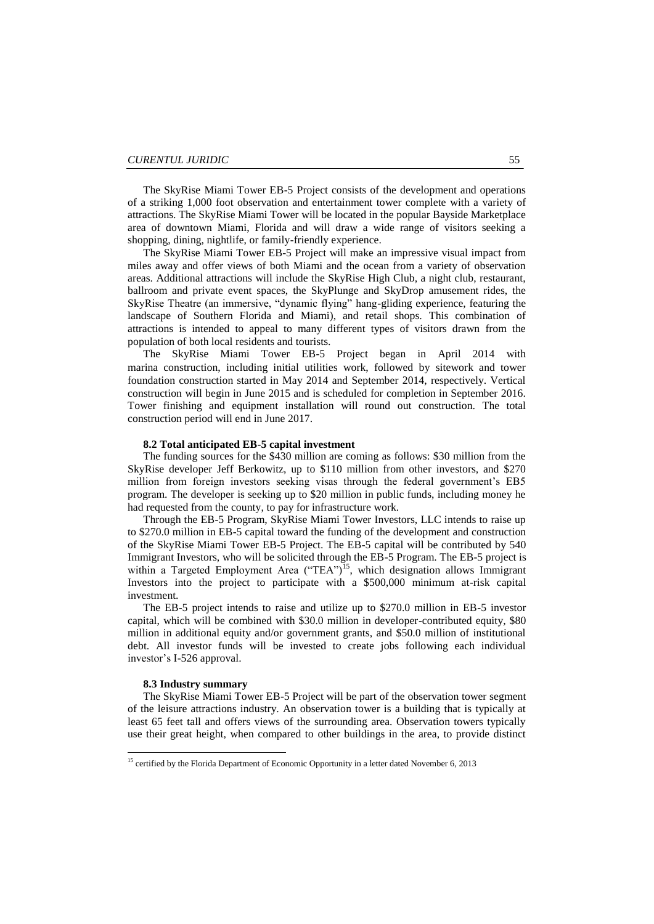The SkyRise Miami Tower EB-5 Project consists of the development and operations of a striking 1,000 foot observation and entertainment tower complete with a variety of attractions. The SkyRise Miami Tower will be located in the popular Bayside Marketplace area of downtown Miami, Florida and will draw a wide range of visitors seeking a shopping, dining, nightlife, or family-friendly experience.

The SkyRise Miami Tower EB-5 Project will make an impressive visual impact from miles away and offer views of both Miami and the ocean from a variety of observation areas. Additional attractions will include the SkyRise High Club, a night club, restaurant, ballroom and private event spaces, the SkyPlunge and SkyDrop amusement rides, the SkyRise Theatre (an immersive, "dynamic flying" hang-gliding experience, featuring the landscape of Southern Florida and Miami), and retail shops. This combination of attractions is intended to appeal to many different types of visitors drawn from the population of both local residents and tourists.

The SkyRise Miami Tower EB-5 Project began in April 2014 with marina construction, including initial utilities work, followed by sitework and tower foundation construction started in May 2014 and September 2014, respectively. Vertical construction will begin in June 2015 and is scheduled for completion in September 2016. Tower finishing and equipment installation will round out construction. The total construction period will end in June 2017.

## **8.2 Total anticipated EB-5 capital investment**

The funding sources for the \$430 million are coming as follows: \$30 million from the SkyRise developer Jeff Berkowitz, up to \$110 million from other investors, and \$270 million from foreign investors seeking visas through the federal government's EB5 program. The developer is seeking up to \$20 million in public funds, including money he had requested from the county, to pay for infrastructure work.

Through the EB-5 Program, SkyRise Miami Tower Investors, LLC intends to raise up to \$270.0 million in EB-5 capital toward the funding of the development and construction of the SkyRise Miami Tower EB-5 Project. The EB-5 capital will be contributed by 540 Immigrant Investors, who will be solicited through the EB-5 Program. The EB-5 project is within a Targeted Employment Area ("TEA")<sup>15</sup>, which designation allows Immigrant Investors into the project to participate with a \$500,000 minimum at-risk capital investment.

The EB-5 project intends to raise and utilize up to \$270.0 million in EB-5 investor capital, which will be combined with \$30.0 million in developer-contributed equity, \$80 million in additional equity and/or government grants, and \$50.0 million of institutional debt. All investor funds will be invested to create jobs following each individual investor's I-526 approval.

#### **8.3 Industry summary**

**.** 

The SkyRise Miami Tower EB-5 Project will be part of the observation tower segment of the leisure attractions industry. An observation tower is a building that is typically at least 65 feet tall and offers views of the surrounding area. Observation towers typically use their great height, when compared to other buildings in the area, to provide distinct

<sup>&</sup>lt;sup>15</sup> certified by the Florida Department of Economic Opportunity in a letter dated November 6, 2013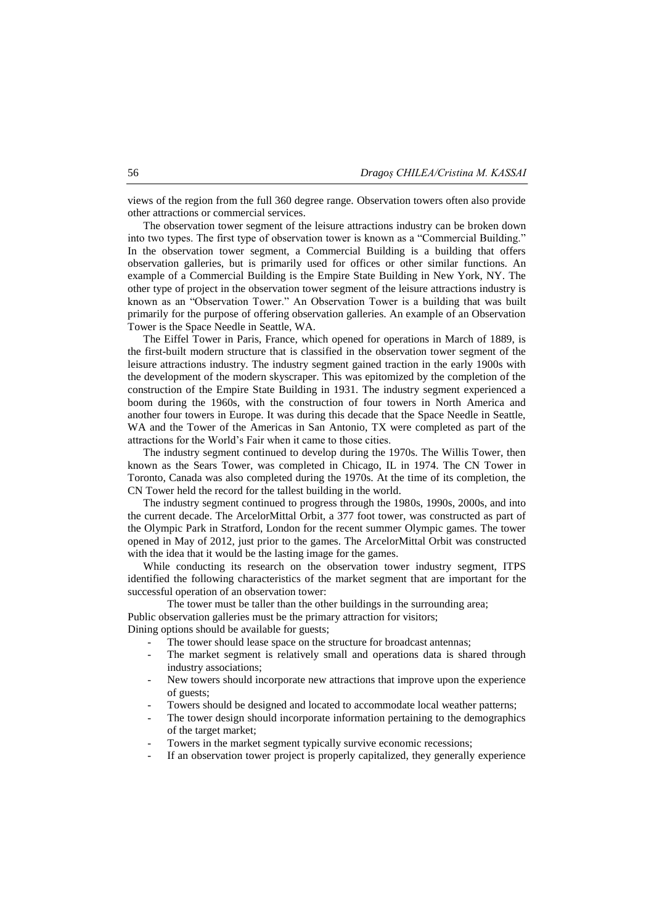views of the region from the full 360 degree range. Observation towers often also provide other attractions or commercial services.

The observation tower segment of the leisure attractions industry can be broken down into two types. The first type of observation tower is known as a "Commercial Building." In the observation tower segment, a Commercial Building is a building that offers observation galleries, but is primarily used for offices or other similar functions. An example of a Commercial Building is the Empire State Building in New York, NY. The other type of project in the observation tower segment of the leisure attractions industry is known as an "Observation Tower." An Observation Tower is a building that was built primarily for the purpose of offering observation galleries. An example of an Observation Tower is the Space Needle in Seattle, WA.

The Eiffel Tower in Paris, France, which opened for operations in March of 1889, is the first-built modern structure that is classified in the observation tower segment of the leisure attractions industry. The industry segment gained traction in the early 1900s with the development of the modern skyscraper. This was epitomized by the completion of the construction of the Empire State Building in 1931. The industry segment experienced a boom during the 1960s, with the construction of four towers in North America and another four towers in Europe. It was during this decade that the Space Needle in Seattle, WA and the Tower of the Americas in San Antonio, TX were completed as part of the attractions for the World's Fair when it came to those cities.

The industry segment continued to develop during the 1970s. The Willis Tower, then known as the Sears Tower, was completed in Chicago, IL in 1974. The CN Tower in Toronto, Canada was also completed during the 1970s. At the time of its completion, the CN Tower held the record for the tallest building in the world.

The industry segment continued to progress through the 1980s, 1990s, 2000s, and into the current decade. The ArcelorMittal Orbit, a 377 foot tower, was constructed as part of the Olympic Park in Stratford, London for the recent summer Olympic games. The tower opened in May of 2012, just prior to the games. The ArcelorMittal Orbit was constructed with the idea that it would be the lasting image for the games.

While conducting its research on the observation tower industry segment, ITPS identified the following characteristics of the market segment that are important for the successful operation of an observation tower:

The tower must be taller than the other buildings in the surrounding area; Public observation galleries must be the primary attraction for visitors; Dining options should be available for guests;

- The tower should lease space on the structure for broadcast antennas;
- The market segment is relatively small and operations data is shared through industry associations;
- New towers should incorporate new attractions that improve upon the experience of guests;
- Towers should be designed and located to accommodate local weather patterns;
- The tower design should incorporate information pertaining to the demographics of the target market;
- Towers in the market segment typically survive economic recessions;
- If an observation tower project is properly capitalized, they generally experience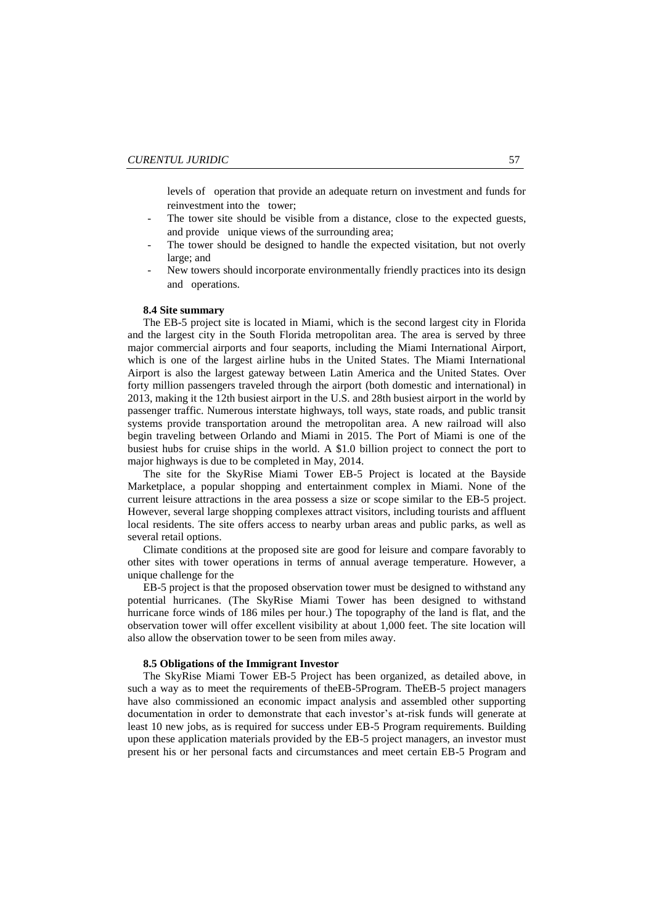levels of operation that provide an adequate return on investment and funds for reinvestment into the tower;

- The tower site should be visible from a distance, close to the expected guests, and provide unique views of the surrounding area;
- The tower should be designed to handle the expected visitation, but not overly large; and
- New towers should incorporate environmentally friendly practices into its design and operations.

## **8.4 Site summary**

The EB-5 project site is located in Miami, which is the second largest city in Florida and the largest city in the South Florida metropolitan area. The area is served by three major commercial airports and four seaports, including the Miami International Airport, which is one of the largest airline hubs in the United States. The Miami International Airport is also the largest gateway between Latin America and the United States. Over forty million passengers traveled through the airport (both domestic and international) in 2013, making it the 12th busiest airport in the U.S. and 28th busiest airport in the world by passenger traffic. Numerous interstate highways, toll ways, state roads, and public transit systems provide transportation around the metropolitan area. A new railroad will also begin traveling between Orlando and Miami in 2015. The Port of Miami is one of the busiest hubs for cruise ships in the world. A \$1.0 billion project to connect the port to major highways is due to be completed in May, 2014.

The site for the SkyRise Miami Tower EB-5 Project is located at the Bayside Marketplace, a popular shopping and entertainment complex in Miami. None of the current leisure attractions in the area possess a size or scope similar to the EB-5 project. However, several large shopping complexes attract visitors, including tourists and affluent local residents. The site offers access to nearby urban areas and public parks, as well as several retail options.

Climate conditions at the proposed site are good for leisure and compare favorably to other sites with tower operations in terms of annual average temperature. However, a unique challenge for the

EB-5 project is that the proposed observation tower must be designed to withstand any potential hurricanes. (The SkyRise Miami Tower has been designed to withstand hurricane force winds of 186 miles per hour.) The topography of the land is flat, and the observation tower will offer excellent visibility at about 1,000 feet. The site location will also allow the observation tower to be seen from miles away.

#### **8.5 Obligations of the Immigrant Investor**

The SkyRise Miami Tower EB-5 Project has been organized, as detailed above, in such a way as to meet the requirements of theEB-5Program. TheEB-5 project managers have also commissioned an economic impact analysis and assembled other supporting documentation in order to demonstrate that each investor's at-risk funds will generate at least 10 new jobs, as is required for success under EB-5 Program requirements. Building upon these application materials provided by the EB-5 project managers, an investor must present his or her personal facts and circumstances and meet certain EB-5 Program and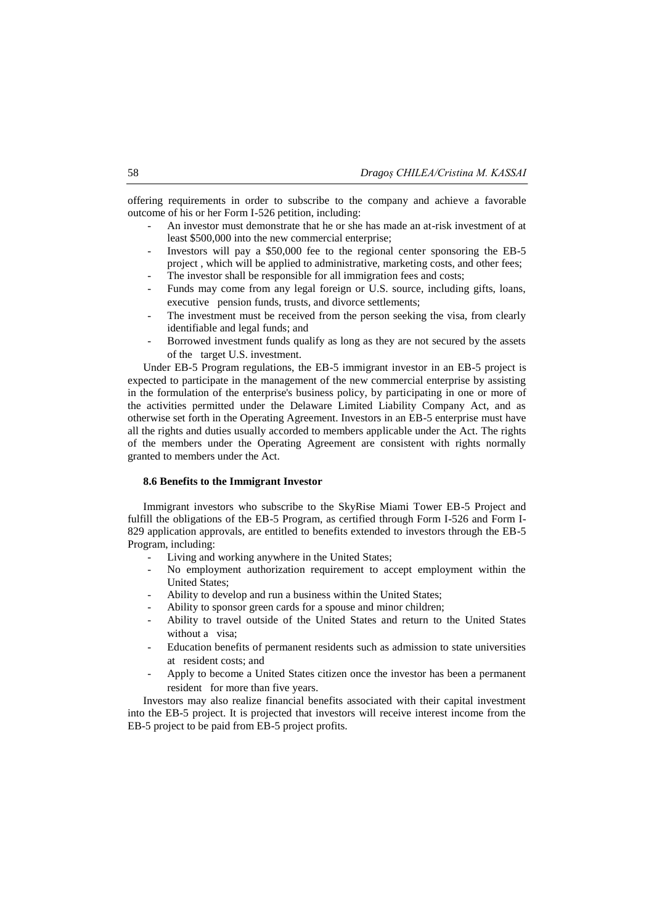offering requirements in order to subscribe to the company and achieve a favorable outcome of his or her Form I-526 petition, including:

- An investor must demonstrate that he or she has made an at-risk investment of at least \$500,000 into the new commercial enterprise;
- Investors will pay a \$50,000 fee to the regional center sponsoring the EB-5 project , which will be applied to administrative, marketing costs, and other fees;
- The investor shall be responsible for all immigration fees and costs;
- Funds may come from any legal foreign or U.S. source, including gifts, loans, executive pension funds, trusts, and divorce settlements;
- The investment must be received from the person seeking the visa, from clearly identifiable and legal funds; and
- Borrowed investment funds qualify as long as they are not secured by the assets of the target U.S. investment.

Under EB-5 Program regulations, the EB-5 immigrant investor in an EB-5 project is expected to participate in the management of the new commercial enterprise by assisting in the formulation of the enterprise's business policy, by participating in one or more of the activities permitted under the Delaware Limited Liability Company Act, and as otherwise set forth in the Operating Agreement. Investors in an EB-5 enterprise must have all the rights and duties usually accorded to members applicable under the Act. The rights of the members under the Operating Agreement are consistent with rights normally granted to members under the Act.

### **8.6 Benefits to the Immigrant Investor**

Immigrant investors who subscribe to the SkyRise Miami Tower EB-5 Project and fulfill the obligations of the EB-5 Program, as certified through Form I-526 and Form I-829 application approvals, are entitled to benefits extended to investors through the EB-5 Program, including:

- Living and working anywhere in the United States;
- No employment authorization requirement to accept employment within the United States;
- Ability to develop and run a business within the United States;
- Ability to sponsor green cards for a spouse and minor children;
- Ability to travel outside of the United States and return to the United States without a visa;
- Education benefits of permanent residents such as admission to state universities at resident costs; and
- Apply to become a United States citizen once the investor has been a permanent resident for more than five years.

Investors may also realize financial benefits associated with their capital investment into the EB-5 project. It is projected that investors will receive interest income from the EB-5 project to be paid from EB-5 project profits.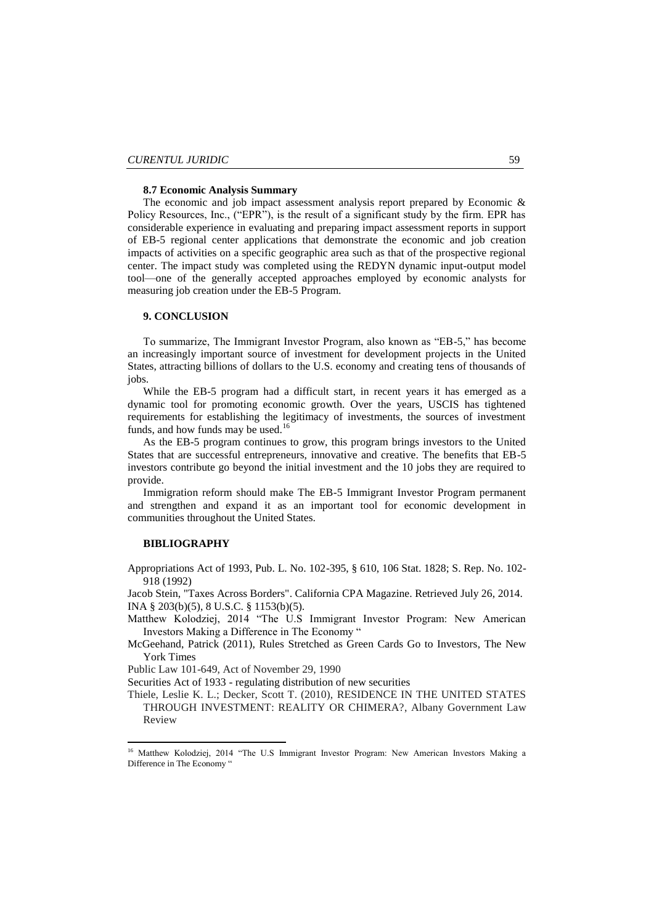#### **8.7 Economic Analysis Summary**

The economic and job impact assessment analysis report prepared by Economic & Policy Resources, Inc., ("EPR"), is the result of a significant study by the firm. EPR has considerable experience in evaluating and preparing impact assessment reports in support of EB-5 regional center applications that demonstrate the economic and job creation impacts of activities on a specific geographic area such as that of the prospective regional center. The impact study was completed using the REDYN dynamic input-output model tool—one of the generally accepted approaches employed by economic analysts for measuring job creation under the EB-5 Program.

## **9. CONCLUSION**

To summarize, The Immigrant Investor Program, also known as "EB-5," has become an increasingly important source of investment for development projects in the United States, attracting billions of dollars to the U.S. economy and creating tens of thousands of jobs.

While the EB-5 program had a difficult start, in recent years it has emerged as a dynamic tool for promoting economic growth. Over the years, USCIS has tightened requirements for establishing the legitimacy of investments, the sources of investment funds, and how funds may be used.<sup>16</sup>

As the EB-5 program continues to grow, this program brings investors to the United States that are successful entrepreneurs, innovative and creative. The benefits that EB-5 investors contribute go beyond the initial investment and the 10 jobs they are required to provide.

Immigration reform should make The EB-5 Immigrant Investor Program permanent and strengthen and expand it as an important tool for economic development in communities throughout the United States.

## **BIBLIOGRAPHY**

1

Appropriations Act of 1993, Pub. L. No. 102-395, § 610, 106 Stat. 1828; S. Rep. No. 102- 918 (1992)

[Jacob Stein,](http://en.wikipedia.org/wiki/Jacob_Stein) ["Taxes Across Borders".](http://ksilaw.com/uploads/general/Cal_CPA_Taxes_Across_Boarders_9-2013_J.Stein.pdf) California CPA Magazine. Retrieved July 26, 2014. INA § 203(b)(5), 8 U.S.C. § 1153(b)(5).

Matthew Kolodziej, 2014 "The U.S Immigrant Investor Program: New American Investors Making a Difference in The Economy "

McGeehand, Patrick (2011), [Rules Stretched as Green Cards Go to Investors,](http://www.nytimes.com/2011/12/19/nyregion/new-york-developers-take-advantage-of-financing-for-visas-program.html?_r=1) The New York Times

Public Law 101-649, Act of November 29, 1990

[Securities Act of 1933](http://en.wikipedia.org/wiki/Securities_Act_of_1933) - regulating distribution of new securities

Thiele, Leslie K. L.; Decker, Scott T. (2010), RESIDENCE IN THE UNITED STATES THROUGH INVESTMENT: REALITY OR CHIMERA?, Albany Government Law Review

<sup>&</sup>lt;sup>16</sup> Matthew Kolodziej, 2014 "The U.S Immigrant Investor Program: New American Investors Making a Difference in The Economy '